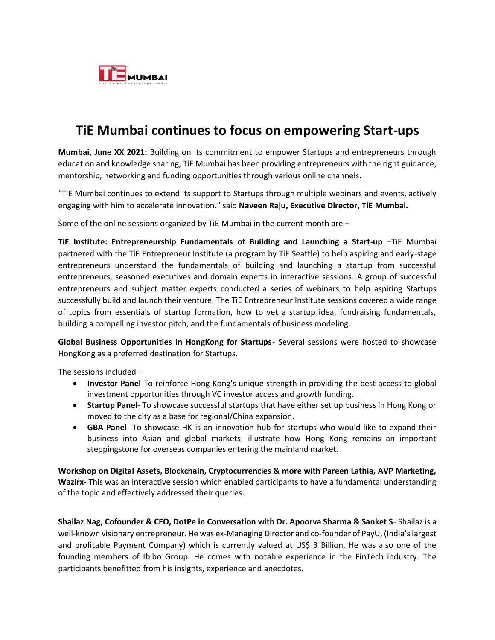

## **TiE Mumbai continues to focus on empowering Start-ups**

**Mumbai, June XX 2021:** Building on its commitment to empower Startups and entrepreneurs through education and knowledge sharing, TiE Mumbai has been providing entrepreneurs with the right guidance, mentorship, networking and funding opportunities through various online channels.

"TiE Mumbai continues to extend its support to Startups through multiple webinars and events, actively engaging with him to accelerate innovation." said **Naveen Raju, Executive Director, TiE Mumbai.**

Some of the online sessions organized by TiE Mumbai in the current month are –

**TiE Institute: Entrepreneurship Fundamentals of Building and Launching a Start-up** –TiE Mumbai partnered with the TiE Entrepreneur Institute (a program by TiE Seattle) to help aspiring and early-stage entrepreneurs understand the fundamentals of building and launching a startup from successful entrepreneurs, seasoned executives and domain experts in interactive sessions. A group of successful entrepreneurs and subject matter experts conducted a series of webinars to help aspiring Startups successfully build and launch their venture. The TiE Entrepreneur Institute sessions covered a wide range of topics from essentials of startup formation, how to vet a startup idea, fundraising fundamentals, building a compelling investor pitch, and the fundamentals of business modeling.

**Global Business Opportunities in HongKong for Startups**- Several sessions were hosted to showcase HongKong as a preferred destination for Startups.

The sessions included –

- **Investor Panel**-To reinforce Hong Kong's unique strength in providing the best access to global investment opportunities through VC investor access and growth funding.
- **Startup Panel** To showcase successful startups that have either set up business in Hong Kong or moved to the city as a base for regional/China expansion.
- **GBA Panel** To showcase HK is an innovation hub for startups who would like to expand their business into Asian and global markets; illustrate how Hong Kong remains an important steppingstone for overseas companies entering the mainland market.

**Workshop on Digital Assets, Blockchain, Cryptocurrencies & more with Pareen Lathia, AVP Marketing, Wazirx-** This was an interactive session which enabled participants to have a fundamental understanding of the topic and effectively addressed their queries.

**Shailaz Nag, Cofounder & CEO, DotPe in Conversation with Dr. Apoorva Sharma & Sanket S**- Shailaz is a well-known visionary entrepreneur. He was ex-Managing Director and co-founder of PayU, (India's largest and profitable Payment Company) which is currently valued at US\$ 3 Billion. He was also one of the founding members of Ibibo Group. He comes with notable experience in the FinTech industry. The participants benefitted from his insights, experience and anecdotes.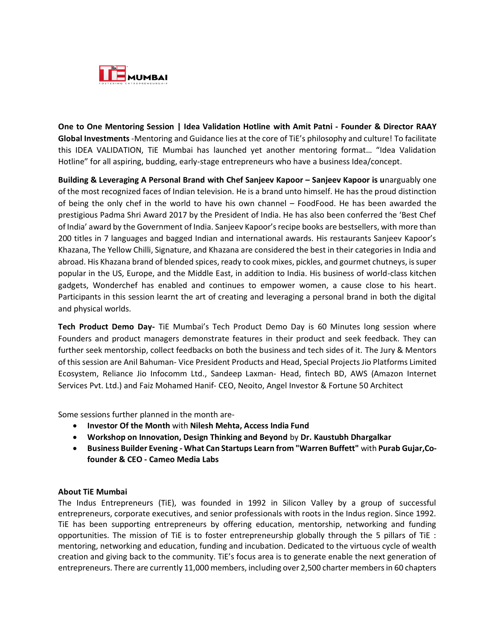

**One to One Mentoring Session | Idea Validation Hotline with Amit Patni - Founder & Director RAAY Global Investments** -Mentoring and Guidance lies at the core of TiE's philosophy and culture! To facilitate this IDEA VALIDATION, TiE Mumbai has launched yet another mentoring format… "Idea Validation Hotline" for all aspiring, budding, early-stage entrepreneurs who have a business Idea/concept.

**Building & Leveraging A Personal Brand with Chef Sanjeev Kapoor – Sanjeev Kapoor is u**narguably one of the most recognized faces of Indian television. He is a brand unto himself. He has the proud distinction of being the only chef in the world to have his own channel – FoodFood. He has been awarded the prestigious Padma Shri Award 2017 by the President of India. He has also been conferred the 'Best Chef of India' award by the Government of India. Sanjeev Kapoor's recipe books are bestsellers, with more than 200 titles in 7 languages and bagged Indian and international awards. His restaurants Sanjeev Kapoor's Khazana, The Yellow Chilli, Signature, and Khazana are considered the best in their categories in India and abroad. His Khazana brand of blended spices, ready to cook mixes, pickles, and gourmet chutneys, is super popular in the US, Europe, and the Middle East, in addition to India. His business of world-class kitchen gadgets, Wonderchef has enabled and continues to empower women, a cause close to his heart. Participants in this session learnt the art of creating and leveraging a personal brand in both the digital and physical worlds.

**Tech Product Demo Day-** TiE Mumbai's Tech Product Demo Day is 60 Minutes long session where Founders and product managers demonstrate features in their product and seek feedback. They can further seek mentorship, collect feedbacks on both the business and tech sides of it. The Jury & Mentors of this session are Anil Bahuman- Vice President Products and Head, Special Projects Jio Platforms Limited Ecosystem, Reliance Jio Infocomm Ltd., Sandeep Laxman- Head, fintech BD, AWS (Amazon Internet Services Pvt. Ltd.) and Faiz Mohamed Hanif- CEO, Neoito, Angel Investor & Fortune 50 Architect

Some sessions further planned in the month are-

- **Investor Of the Month** with **Nilesh Mehta, Access India Fund**
- **Workshop on Innovation, Design Thinking and Beyond** by **Dr. Kaustubh Dhargalkar**
- **Business Builder Evening - What Can Startups Learn from "Warren Buffett"** with **Purab Gujar,Cofounder & CEO - Cameo Media Labs**

## **About TiE Mumbai**

The Indus Entrepreneurs (TiE), was founded in 1992 in Silicon Valley by a group of successful entrepreneurs, corporate executives, and senior professionals with roots in the Indus region. Since 1992. TiE has been supporting entrepreneurs by offering education, mentorship, networking and funding opportunities. The mission of TiE is to foster entrepreneurship globally through the 5 pillars of TiE : mentoring, networking and education, funding and incubation. Dedicated to the virtuous cycle of wealth creation and giving back to the community. TiE's focus area is to generate enable the next generation of entrepreneurs. There are currently 11,000 members, including over 2,500 charter members in 60 chapters